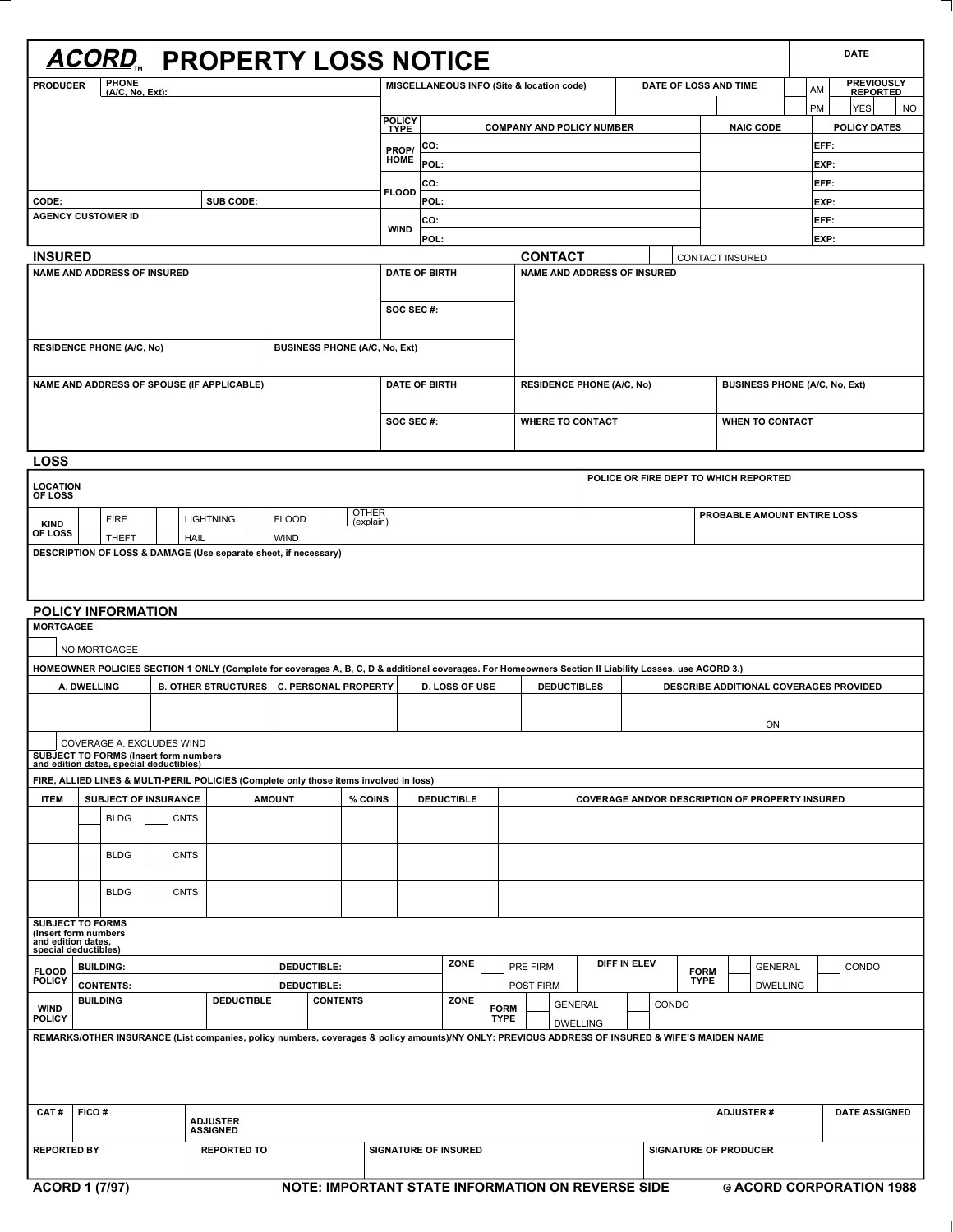| <b>ACORD PROPERTY LOSS NOTICE</b>                                                           |                                                         |              |                                                                                  |                                                                                                                                                        |             |  |                             |                                                                    |                                       |                                                          |                                  |  |                              | <b>DATE</b>                                   |                                      |                                         |                                     |                          |  |  |  |
|---------------------------------------------------------------------------------------------|---------------------------------------------------------|--------------|----------------------------------------------------------------------------------|--------------------------------------------------------------------------------------------------------------------------------------------------------|-------------|--|-----------------------------|--------------------------------------------------------------------|---------------------------------------|----------------------------------------------------------|----------------------------------|--|------------------------------|-----------------------------------------------|--------------------------------------|-----------------------------------------|-------------------------------------|--------------------------|--|--|--|
| <b>PHONE</b><br><b>PRODUCER</b><br>$(A/C, No, Ext)$ :                                       |                                                         |              |                                                                                  |                                                                                                                                                        |             |  |                             | MISCELLANEOUS INFO (Site & location code)<br>DATE OF LOSS AND TIME |                                       |                                                          |                                  |  |                              |                                               |                                      |                                         | PREVIOUSLY<br>AM<br><b>REPORTED</b> |                          |  |  |  |
|                                                                                             |                                                         |              |                                                                                  |                                                                                                                                                        |             |  |                             |                                                                    |                                       |                                                          |                                  |  |                              |                                               |                                      | <b>PM</b>                               |                                     | <b>YES</b><br>NO.        |  |  |  |
|                                                                                             |                                                         |              |                                                                                  |                                                                                                                                                        |             |  |                             | POLICY<br>TYPE<br><b>COMPANY AND POLICY NUMBER</b>                 |                                       |                                                          |                                  |  |                              |                                               |                                      | <b>NAIC CODE</b><br><b>POLICY DATES</b> |                                     |                          |  |  |  |
|                                                                                             |                                                         |              |                                                                                  |                                                                                                                                                        |             |  |                             | CO:<br>PROP/                                                       |                                       |                                                          |                                  |  |                              |                                               |                                      | EFF:                                    |                                     |                          |  |  |  |
|                                                                                             |                                                         |              |                                                                                  |                                                                                                                                                        |             |  |                             | <b>HOME</b><br>POL:                                                |                                       |                                                          |                                  |  |                              |                                               | EXP:                                 |                                         |                                     |                          |  |  |  |
|                                                                                             |                                                         |              |                                                                                  |                                                                                                                                                        |             |  |                             | CO:<br><b>FLOOD</b>                                                |                                       |                                                          |                                  |  |                              |                                               | EFF:                                 |                                         |                                     |                          |  |  |  |
| SUB CODE:<br>CODE:<br><b>AGENCY CUSTOMER ID</b>                                             |                                                         |              |                                                                                  |                                                                                                                                                        |             |  |                             | POL:<br>CO:                                                        |                                       |                                                          |                                  |  |                              |                                               | EXP:<br>EFF:                         |                                         |                                     |                          |  |  |  |
|                                                                                             |                                                         |              |                                                                                  |                                                                                                                                                        |             |  | <b>WIND</b><br>POL:         |                                                                    |                                       |                                                          |                                  |  |                              | EXP:                                          |                                      |                                         |                                     |                          |  |  |  |
| <b>INSURED</b>                                                                              |                                                         |              |                                                                                  |                                                                                                                                                        |             |  |                             | <b>CONTACT</b><br>CONTACT INSURED                                  |                                       |                                                          |                                  |  |                              |                                               |                                      |                                         |                                     |                          |  |  |  |
| <b>NAME AND ADDRESS OF INSURED</b>                                                          |                                                         |              |                                                                                  |                                                                                                                                                        |             |  |                             | <b>DATE OF BIRTH</b><br>NAME AND ADDRESS OF INSURED                |                                       |                                                          |                                  |  |                              |                                               |                                      |                                         |                                     |                          |  |  |  |
|                                                                                             |                                                         |              |                                                                                  |                                                                                                                                                        |             |  |                             |                                                                    |                                       |                                                          |                                  |  |                              |                                               |                                      |                                         |                                     |                          |  |  |  |
|                                                                                             |                                                         |              |                                                                                  |                                                                                                                                                        |             |  |                             | SOC SEC#:                                                          |                                       |                                                          |                                  |  |                              |                                               |                                      |                                         |                                     |                          |  |  |  |
|                                                                                             |                                                         |              |                                                                                  |                                                                                                                                                        |             |  |                             |                                                                    |                                       |                                                          |                                  |  |                              |                                               |                                      |                                         |                                     |                          |  |  |  |
| <b>BUSINESS PHONE (A/C, No, Ext)</b><br><b>RESIDENCE PHONE (A/C, No)</b>                    |                                                         |              |                                                                                  |                                                                                                                                                        |             |  |                             |                                                                    |                                       |                                                          |                                  |  |                              |                                               |                                      |                                         |                                     |                          |  |  |  |
|                                                                                             |                                                         |              |                                                                                  |                                                                                                                                                        |             |  |                             |                                                                    |                                       |                                                          |                                  |  |                              |                                               |                                      |                                         |                                     |                          |  |  |  |
| NAME AND ADDRESS OF SPOUSE (IF APPLICABLE)                                                  |                                                         |              |                                                                                  |                                                                                                                                                        |             |  |                             | <b>DATE OF BIRTH</b>                                               |                                       |                                                          | <b>RESIDENCE PHONE (A/C, No)</b> |  |                              |                                               | <b>BUSINESS PHONE (A/C, No, Ext)</b> |                                         |                                     |                          |  |  |  |
|                                                                                             |                                                         |              |                                                                                  |                                                                                                                                                        |             |  |                             | SOC SEC#:                                                          |                                       |                                                          | <b>WHERE TO CONTACT</b>          |  |                              |                                               | <b>WHEN TO CONTACT</b>               |                                         |                                     |                          |  |  |  |
|                                                                                             |                                                         |              |                                                                                  |                                                                                                                                                        |             |  |                             |                                                                    |                                       |                                                          |                                  |  |                              |                                               |                                      |                                         |                                     |                          |  |  |  |
| <b>LOSS</b>                                                                                 |                                                         |              |                                                                                  |                                                                                                                                                        |             |  |                             |                                                                    |                                       |                                                          |                                  |  |                              |                                               |                                      |                                         |                                     |                          |  |  |  |
|                                                                                             |                                                         |              |                                                                                  |                                                                                                                                                        |             |  |                             |                                                                    | POLICE OR FIRE DEPT TO WHICH REPORTED |                                                          |                                  |  |                              |                                               |                                      |                                         |                                     |                          |  |  |  |
|                                                                                             | <b>LOCATION</b><br>OF LOSS                              |              |                                                                                  |                                                                                                                                                        |             |  |                             |                                                                    |                                       |                                                          |                                  |  |                              |                                               |                                      |                                         |                                     |                          |  |  |  |
| <b>OTHER</b><br><b>FIRE</b><br><b>LIGHTNING</b><br><b>FLOOD</b><br>(explain)<br><b>KIND</b> |                                                         |              |                                                                                  |                                                                                                                                                        |             |  |                             |                                                                    |                                       |                                                          |                                  |  |                              |                                               | PROBABLE AMOUNT ENTIRE LOSS          |                                         |                                     |                          |  |  |  |
| OF LOSS                                                                                     |                                                         | <b>THEFT</b> |                                                                                  | HAIL                                                                                                                                                   | <b>WIND</b> |  |                             |                                                                    |                                       |                                                          |                                  |  |                              |                                               |                                      |                                         |                                     |                          |  |  |  |
|                                                                                             |                                                         |              |                                                                                  | DESCRIPTION OF LOSS & DAMAGE (Use separate sheet, if necessary)                                                                                        |             |  |                             |                                                                    |                                       |                                                          |                                  |  |                              |                                               |                                      |                                         |                                     |                          |  |  |  |
|                                                                                             |                                                         |              |                                                                                  |                                                                                                                                                        |             |  |                             |                                                                    |                                       |                                                          |                                  |  |                              |                                               |                                      |                                         |                                     |                          |  |  |  |
|                                                                                             |                                                         |              |                                                                                  |                                                                                                                                                        |             |  |                             |                                                                    |                                       |                                                          |                                  |  |                              |                                               |                                      |                                         |                                     |                          |  |  |  |
| <b>POLICY INFORMATION</b><br><b>MORTGAGEE</b>                                               |                                                         |              |                                                                                  |                                                                                                                                                        |             |  |                             |                                                                    |                                       |                                                          |                                  |  |                              |                                               |                                      |                                         |                                     |                          |  |  |  |
|                                                                                             |                                                         | NO MORTGAGEE |                                                                                  |                                                                                                                                                        |             |  |                             |                                                                    |                                       |                                                          |                                  |  |                              |                                               |                                      |                                         |                                     |                          |  |  |  |
|                                                                                             |                                                         |              |                                                                                  | HOMEOWNER POLICIES SECTION 1 ONLY (Complete for coverages A, B, C, D & additional coverages. For Homeowners Section II Liability Losses, use ACORD 3.) |             |  |                             |                                                                    |                                       |                                                          |                                  |  |                              |                                               |                                      |                                         |                                     |                          |  |  |  |
| A. DWELLING                                                                                 |                                                         |              |                                                                                  | <b>B. OTHER STRUCTURES</b><br><b>C. PERSONAL PROPERTY</b>                                                                                              |             |  | <b>D. LOSS OF USE</b>       |                                                                    |                                       | <b>DEDUCTIBLES</b>                                       |                                  |  |                              | <b>DESCRIBE ADDITIONAL COVERAGES PROVIDED</b> |                                      |                                         |                                     |                          |  |  |  |
|                                                                                             |                                                         |              |                                                                                  |                                                                                                                                                        |             |  |                             |                                                                    |                                       |                                                          |                                  |  |                              |                                               |                                      |                                         |                                     |                          |  |  |  |
|                                                                                             |                                                         |              |                                                                                  |                                                                                                                                                        |             |  |                             |                                                                    |                                       |                                                          |                                  |  |                              |                                               | ON                                   |                                         |                                     |                          |  |  |  |
|                                                                                             |                                                         |              | COVERAGE A. EXCLUDES WIND                                                        |                                                                                                                                                        |             |  |                             |                                                                    |                                       |                                                          |                                  |  |                              |                                               |                                      |                                         |                                     |                          |  |  |  |
|                                                                                             |                                                         |              | SUBJECT TO FORMS (Insert form numbers<br>and edition dates, special deductibles) |                                                                                                                                                        |             |  |                             |                                                                    |                                       |                                                          |                                  |  |                              |                                               |                                      |                                         |                                     |                          |  |  |  |
|                                                                                             |                                                         |              |                                                                                  | FIRE, ALLIED LINES & MULTI-PERIL POLICIES (Complete only those items involved in loss)                                                                 |             |  |                             |                                                                    |                                       |                                                          |                                  |  |                              |                                               |                                      |                                         |                                     |                          |  |  |  |
| <b>ITEM</b>                                                                                 | <b>SUBJECT OF INSURANCE</b>                             |              |                                                                                  | % COINS<br><b>AMOUNT</b>                                                                                                                               |             |  | <b>DEDUCTIBLE</b>           |                                                                    |                                       | <b>COVERAGE AND/OR DESCRIPTION OF PROPERTY INSURED</b>   |                                  |  |                              |                                               |                                      |                                         |                                     |                          |  |  |  |
|                                                                                             | <b>CNTS</b><br><b>BLDG</b>                              |              |                                                                                  |                                                                                                                                                        |             |  |                             |                                                                    |                                       |                                                          |                                  |  |                              |                                               |                                      |                                         |                                     |                          |  |  |  |
|                                                                                             |                                                         |              |                                                                                  |                                                                                                                                                        |             |  |                             |                                                                    |                                       |                                                          |                                  |  |                              |                                               |                                      |                                         |                                     |                          |  |  |  |
|                                                                                             | <b>CNTS</b><br><b>BLDG</b>                              |              |                                                                                  |                                                                                                                                                        |             |  |                             |                                                                    |                                       |                                                          |                                  |  |                              |                                               |                                      |                                         |                                     |                          |  |  |  |
|                                                                                             |                                                         | <b>BLDG</b>  | <b>CNTS</b>                                                                      |                                                                                                                                                        |             |  |                             |                                                                    |                                       |                                                          |                                  |  |                              |                                               |                                      |                                         |                                     |                          |  |  |  |
|                                                                                             |                                                         |              |                                                                                  |                                                                                                                                                        |             |  |                             |                                                                    |                                       |                                                          |                                  |  |                              |                                               |                                      |                                         |                                     |                          |  |  |  |
| <b>SUBJECT TO FORMS</b><br>(Insert form numbers                                             |                                                         |              |                                                                                  |                                                                                                                                                        |             |  |                             |                                                                    |                                       |                                                          |                                  |  |                              |                                               |                                      |                                         |                                     |                          |  |  |  |
| and edition dates,<br>special deductibles)                                                  |                                                         |              |                                                                                  |                                                                                                                                                        |             |  |                             |                                                                    |                                       |                                                          |                                  |  |                              |                                               |                                      |                                         |                                     |                          |  |  |  |
| <b>FLOOD</b>                                                                                | <b>BUILDING:</b>                                        |              |                                                                                  |                                                                                                                                                        | DEDUCTIBLE: |  |                             | ZONE                                                               |                                       |                                                          | DIFF IN ELEV<br>PRE FIRM         |  |                              | <b>GENERAL</b><br><b>FORM</b>                 |                                      |                                         | CONDO                               |                          |  |  |  |
| <b>POLICY</b>                                                                               | <b>CONTENTS:</b>                                        |              |                                                                                  |                                                                                                                                                        | DEDUCTIBLE: |  |                             |                                                                    |                                       | <b>POST FIRM</b>                                         |                                  |  | <b>TYPE</b>                  |                                               | <b>DWELLING</b>                      |                                         |                                     |                          |  |  |  |
| <b>WIND</b>                                                                                 | <b>BUILDING</b><br><b>DEDUCTIBLE</b><br><b>CONTENTS</b> |              |                                                                                  |                                                                                                                                                        |             |  | ZONE                        | <b>FORM</b>                                                        |                                       | <b>GENERAL</b>                                           | CONDO                            |  |                              |                                               |                                      |                                         |                                     |                          |  |  |  |
| <b>POLICY</b>                                                                               |                                                         |              |                                                                                  |                                                                                                                                                        |             |  |                             |                                                                    | <b>TYPE</b>                           |                                                          | <b>DWELLING</b>                  |  |                              |                                               |                                      |                                         |                                     |                          |  |  |  |
|                                                                                             |                                                         |              |                                                                                  | REMARKS/OTHER INSURANCE (List companies, policy numbers, coverages & policy amounts)/NY ONLY: PREVIOUS ADDRESS OF INSURED & WIFE'S MAIDEN NAME         |             |  |                             |                                                                    |                                       |                                                          |                                  |  |                              |                                               |                                      |                                         |                                     |                          |  |  |  |
|                                                                                             |                                                         |              |                                                                                  |                                                                                                                                                        |             |  |                             |                                                                    |                                       |                                                          |                                  |  |                              |                                               |                                      |                                         |                                     |                          |  |  |  |
|                                                                                             |                                                         |              |                                                                                  |                                                                                                                                                        |             |  |                             |                                                                    |                                       |                                                          |                                  |  |                              |                                               |                                      |                                         |                                     |                          |  |  |  |
| CAT#<br>FICO#                                                                               |                                                         |              |                                                                                  |                                                                                                                                                        |             |  |                             |                                                                    |                                       |                                                          |                                  |  |                              | <b>ADJUSTER#</b>                              |                                      |                                         | <b>DATE ASSIGNED</b>                |                          |  |  |  |
|                                                                                             |                                                         |              |                                                                                  | <b>ADJUSTER</b><br><b>ASSIGNED</b>                                                                                                                     |             |  |                             |                                                                    |                                       |                                                          |                                  |  |                              |                                               |                                      |                                         |                                     |                          |  |  |  |
| <b>REPORTED BY</b>                                                                          |                                                         |              |                                                                                  | <b>REPORTED TO</b>                                                                                                                                     |             |  | <b>SIGNATURE OF INSURED</b> |                                                                    |                                       |                                                          |                                  |  | <b>SIGNATURE OF PRODUCER</b> |                                               |                                      |                                         |                                     |                          |  |  |  |
|                                                                                             |                                                         |              |                                                                                  |                                                                                                                                                        |             |  |                             |                                                                    |                                       |                                                          |                                  |  |                              |                                               |                                      |                                         |                                     |                          |  |  |  |
| <b>ACORD 1 (7/97)</b>                                                                       |                                                         |              |                                                                                  |                                                                                                                                                        |             |  |                             |                                                                    |                                       | <b>NOTE: IMPORTANT STATE INFORMATION ON REVERSE SIDE</b> |                                  |  |                              |                                               |                                      |                                         |                                     | © ACORD CORPORATION 1988 |  |  |  |